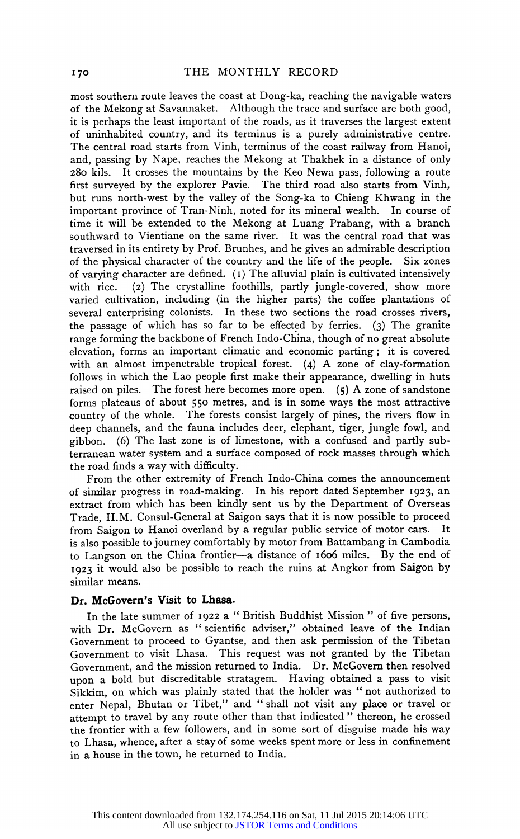**most southern route leaves the coast at Dong-ka, reaching the navigable waters of the Mekong at Savannaket. Although the trace and surface are both good, it is perhaps the least important of the roads, as it traverses the largest extent of uninhabited country, and its terminus is a purely administrative centre. The central road starts from Vinh, terminus of the coast railway from Hanoi, and, passing by Nape, reaches the Mekong at Thakhek in a distance of only 280 kils. It crosses the mountains by the Keo Newa pass, following a route first surveyed by the explorer Pavie. The third road also starts from Vinh, but runs north-west by the valley of the Song-ka to Chieng Khwang in the important province of Tran-Ninh, noted for its mineral wealth. In course of time it will be extended to the Mekong at Luang Prabang, with a branch southward to Vientiane on the same river. It was the central road that was traversed in its entirety by Prof. Brunhes, and he gives an admirable description of the physical character of the country and the life of the people. Six zones of varying character are defined. (1) The alluvial plain is cultivated intensively with rice. (2) The crystalline foothills, partly jungle-covered, show more varied cultivation, including (in the higher parts) the coffee plantations of several enterprising coionists. In these two sections the road crosses rivers, the passage of which has so far to be effected by ferries. (3) The granite range forming the backbone of French Indo-China, though of no great absolute elevation, forms an important climatic and economic parting ; it is covered with an almost impenetrable tropical forest. (4) A zone of clay-formation follows in which the Lao people first make their appearance, dwelling in huts raised on piles. The forest here becomes more open. (5) A zone of sandstone forms plateaus of about 550 metres, and is in some ways the most attractive country of the whole. The forests consist largely of pines, the rivers flow in deep channels, and the fauna includes deer, elephant, tiger, jungle fowl, and**  gibbon. (6) The last zone is of limestone, with a confused and partly sub**terranean water system and a surface composed of rock masses through which the road finds a way with difficulty.** 

**From the other extremity of French Indo-China comes the announcement of similar progress in road-making. In his report dated September 1923, an extract from which has been kindly sent us by the Department of Overseas Trade, H.M. Consul-General at Saigon says that it is now possible to proceed from Saigon to Hanoi overland by a regular public service of motor cars. It is also possible to journey comfortably by motor from Battambang in Cambodia**  to Langson on the China frontier-a distance of 1606 miles. By the end of **1923 it would also be possible to reach the ruins at Angkor from Saigon by similar means.** 

## **Dr. McGovern's Visit to Lhasa.**

**In the late summer of 1922 a " British Buddhist Mission " of five persons, with Dr. McGovern as " scientific adviser," obtained leave of the Indian Government to proceed to Gyantse, and then ask permission of the Tibetan Government to visit Lhasa. This request was not granted by the Tibetan Government, and the mission returned to India. Dr. McGovern then resolved upon a bold but discreditable stratagem. Having obtained a pass to visit Sikkim, on which was plainly stated that the holder was " not authorized to enter Nepal, Bhutan or Tibet," and " shall not visit any place or travel or attempt to travel by any route other than that indicated " thereon, he crossed the frontier with a few followers, and in some sort of disguise made his way to Lhasa, whence, after a stay of some weeks spent more or less in confinement in a house in the town, he returned to India.**